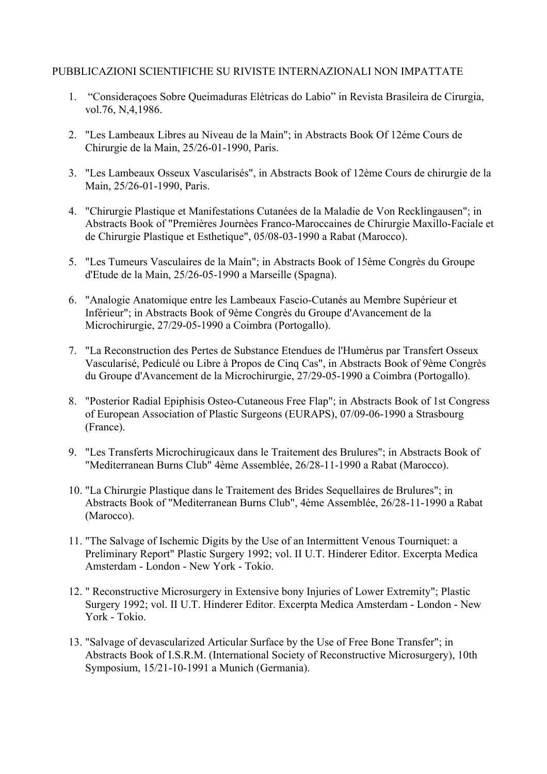### PUBBLICAZIONI SCIENTIFICHE SU RIVISTE INTERNAZIONALI NON IMPATTATE

- 1. "Consideraçoes Sobre Queimaduras Elètricas do Labio" in Revista Brasileira de Cirurgia, vol.76, N,4,1986.
- 2. "Les Lambeaux Libres au Niveau de la Main"; in Abstracts Book Of 12éme Cours de Chirurgie de la Main, 25/26-01-1990, Paris.
- 3. "Les Lambeaux Osseux Vascularisés", in Abstracts Book of 12ème Cours de chirurgie de la Main, 25/26-01-1990, Paris.
- 4. "Chirurgie Plastique et Manifestations Cutanées de la Maladie de Von Recklingausen"; in Abstracts Book of "Premières Journèes Franco-Maroccaines de Chirurgie Maxillo-Faciale et de Chirurgie Plastique et Esthetique", 05/08-03-1990 a Rabat (Marocco).
- 5. "Les Tumeurs Vasculaires de la Main"; in Abstracts Book of 15ème Congrès du Groupe d'Etude de la Main, 25/26-05-1990 a Marseille (Spagna).
- 6. "Analogie Anatomique entre les Lambeaux Fascio-Cutanés au Membre Supérieur et Inférieur"; in Abstracts Book of 9ème Congrès du Groupe d'Avancement de la Microchirurgie, 27/29-05-1990 a Coimbra (Portogallo).
- 7. "La Reconstruction des Pertes de Substance Etendues de l'Humèrus par Transfert Osseux Vascularisé, Pediculé ou Libre à Propos de Cinq Cas", in Abstracts Book of 9ème Congrès du Groupe d'Avancement de la Microchirurgie, 27/29-05-1990 a Coimbra (Portogallo).
- 8. "Posterior Radial Epiphisis Osteo-Cutaneous Free Flap"; in Abstracts Book of 1st Congress of European Association of Plastic Surgeons (EURAPS), 07/09-06-1990 a Strasbourg (France).
- 9. "Les Transferts Microchirugicaux dans le Traitement des Brulures"; in Abstracts Book of "Mediterranean Burns Club" 4ème Assemblée, 26/28-11-1990 a Rabat (Marocco).
- 10. "La Chirurgie Plastique dans le Traitement des Brides Sequellaires de Brulures"; in Abstracts Book of "Mediterranean Burns Club", 4ème Assemblée, 26/28-11-1990 a Rabat (Marocco).
- 11. "The Salvage of Ischemic Digits by the Use of an Intermittent Venous Tourniquet: a Preliminary Report" Plastic Surgery 1992; vol. II U.T. Hinderer Editor. Excerpta Medica Amsterdam - London - New York - Tokio.
- 12. " Reconstructive Microsurgery in Extensive bony Injuries of Lower Extremity"; Plastic Surgery 1992; vol. II U.T. Hinderer Editor. Excerpta Medica Amsterdam - London - New York - Tokio.
- 13. "Salvage of devascularized Articular Surface by the Use of Free Bone Transfer"; in Abstracts Book of I.S.R.M. (International Society of Reconstructive Microsurgery), 10th Symposium, 15/21-10-1991 a Munich (Germania).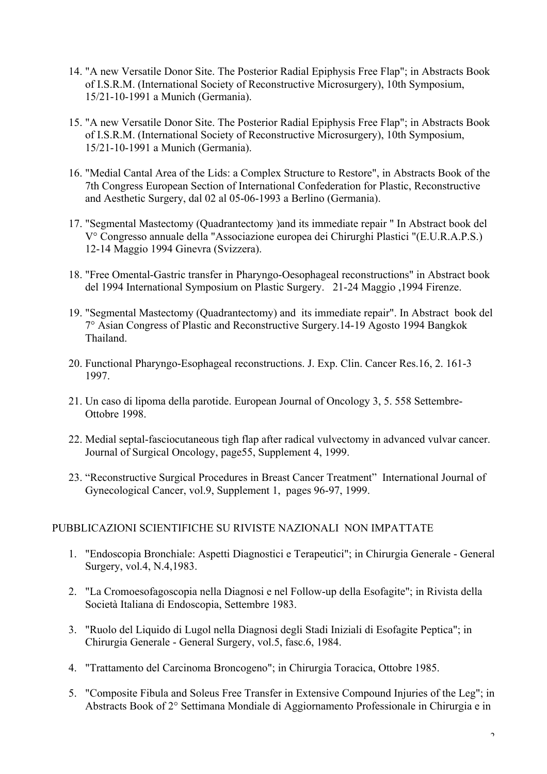- 14. "A new Versatile Donor Site. The Posterior Radial Epiphysis Free Flap"; in Abstracts Book of I.S.R.M. (International Society of Reconstructive Microsurgery), 10th Symposium, 15/21-10-1991 a Munich (Germania).
- 15. "A new Versatile Donor Site. The Posterior Radial Epiphysis Free Flap"; in Abstracts Book of I.S.R.M. (International Society of Reconstructive Microsurgery), 10th Symposium, 15/21-10-1991 a Munich (Germania).
- 16. "Medial Cantal Area of the Lids: a Complex Structure to Restore", in Abstracts Book of the 7th Congress European Section of International Confederation for Plastic, Reconstructive and Aesthetic Surgery, dal 02 al 05-06-1993 a Berlino (Germania).
- 17. "Segmental Mastectomy (Quadrantectomy )and its immediate repair " In Abstract book del V° Congresso annuale della "Associazione europea dei Chirurghi Plastici "(E.U.R.A.P.S.) 12-14 Maggio 1994 Ginevra (Svizzera).
- 18. "Free Omental-Gastric transfer in Pharyngo-Oesophageal reconstructions" in Abstract book del 1994 International Symposium on Plastic Surgery. 21-24 Maggio ,1994 Firenze.
- 19. "Segmental Mastectomy (Quadrantectomy) and its immediate repair". In Abstract book del 7° Asian Congress of Plastic and Reconstructive Surgery.14-19 Agosto 1994 Bangkok Thailand.
- 20. Functional Pharyngo-Esophageal reconstructions. J. Exp. Clin. Cancer Res.16, 2. 161-3 1997.
- 21. Un caso di lipoma della parotide. European Journal of Oncology 3, 5. 558 Settembre-Ottobre 1998.
- 22. Medial septal-fasciocutaneous tigh flap after radical vulvectomy in advanced vulvar cancer. Journal of Surgical Oncology, page55, Supplement 4, 1999.
- 23. "Reconstructive Surgical Procedures in Breast Cancer Treatment" International Journal of Gynecological Cancer, vol.9, Supplement 1, pages 96-97, 1999.

# PUBBLICAZIONI SCIENTIFICHE SU RIVISTE NAZIONALI NON IMPATTATE

- 1. "Endoscopia Bronchiale: Aspetti Diagnostici e Terapeutici"; in Chirurgia Generale General Surgery, vol.4, N.4,1983.
- 2. "La Cromoesofagoscopia nella Diagnosi e nel Follow-up della Esofagite"; in Rivista della Società Italiana di Endoscopia, Settembre 1983.
- 3. "Ruolo del Liquido di Lugol nella Diagnosi degli Stadi Iniziali di Esofagite Peptica"; in Chirurgia Generale - General Surgery, vol.5, fasc.6, 1984.
- 4. "Trattamento del Carcinoma Broncogeno"; in Chirurgia Toracica, Ottobre 1985.
- 5. "Composite Fibula and Soleus Free Transfer in Extensive Compound Injuries of the Leg"; in Abstracts Book of 2° Settimana Mondiale di Aggiornamento Professionale in Chirurgia e in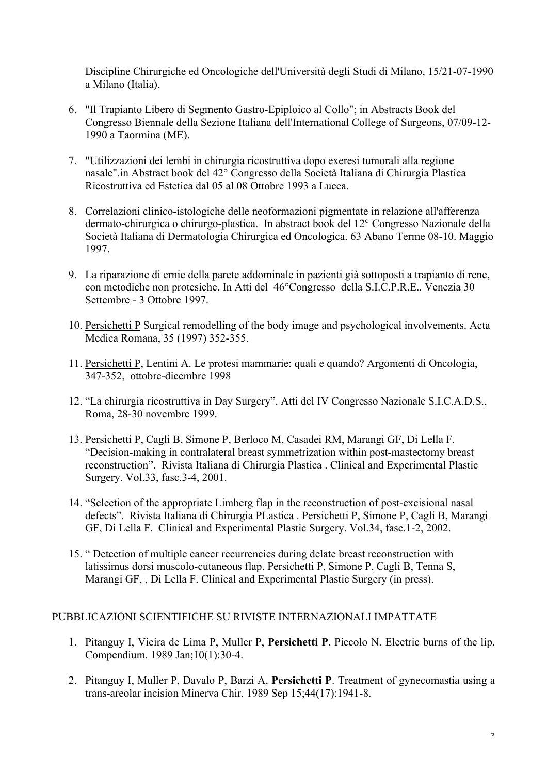Discipline Chirurgiche ed Oncologiche dell'Università degli Studi di Milano, 15/21-07-1990 a Milano (Italia).

- 6. "Il Trapianto Libero di Segmento Gastro-Epiploico al Collo"; in Abstracts Book del Congresso Biennale della Sezione Italiana dell'International College of Surgeons, 07/09-12- 1990 a Taormina (ME).
- 7. "Utilizzazioni dei lembi in chirurgia ricostruttiva dopo exeresi tumorali alla regione nasale".in Abstract book del 42° Congresso della Società Italiana di Chirurgia Plastica Ricostruttiva ed Estetica dal 05 al 08 Ottobre 1993 a Lucca.
- 8. Correlazioni clinico-istologiche delle neoformazioni pigmentate in relazione all'afferenza dermato-chirurgica o chirurgo-plastica. In abstract book del 12° Congresso Nazionale della Società Italiana di Dermatologia Chirurgica ed Oncologica. 63 Abano Terme 08-10. Maggio 1997.
- 9. La riparazione di ernie della parete addominale in pazienti già sottoposti a trapianto di rene, con metodiche non protesiche. In Atti del 46°Congresso della S.I.C.P.R.E.. Venezia 30 Settembre - 3 Ottobre 1997.
- 10. Persichetti P Surgical remodelling of the body image and psychological involvements. Acta Medica Romana, 35 (1997) 352-355.
- 11. Persichetti P, Lentini A. Le protesi mammarie: quali e quando? Argomenti di Oncologia, 347-352, ottobre-dicembre 1998
- 12. "La chirurgia ricostruttiva in Day Surgery". Atti del IV Congresso Nazionale S.I.C.A.D.S., Roma, 28-30 novembre 1999.
- 13. Persichetti P, Cagli B, Simone P, Berloco M, Casadei RM, Marangi GF, Di Lella F. "Decision-making in contralateral breast symmetrization within post-mastectomy breast reconstruction". Rivista Italiana di Chirurgia Plastica . Clinical and Experimental Plastic Surgery. Vol.33, fasc.3-4, 2001.
- 14. "Selection of the appropriate Limberg flap in the reconstruction of post-excisional nasal defects". Rivista Italiana di Chirurgia PLastica . Persichetti P, Simone P, Cagli B, Marangi GF, Di Lella F. Clinical and Experimental Plastic Surgery. Vol.34, fasc.1-2, 2002.
- 15. " Detection of multiple cancer recurrencies during delate breast reconstruction with latissimus dorsi muscolo-cutaneous flap. Persichetti P, Simone P, Cagli B, Tenna S, Marangi GF, , Di Lella F. Clinical and Experimental Plastic Surgery (in press).

# PUBBLICAZIONI SCIENTIFICHE SU RIVISTE INTERNAZIONALI IMPATTATE

- 1. Pitanguy I, Vieira de Lima P, Muller P, **Persichetti P**, Piccolo N. Electric burns of the lip. Compendium. 1989 Jan;10(1):30-4.
- 2. Pitanguy I, Muller P, Davalo P, Barzi A, **Persichetti P**. Treatment of gynecomastia using a trans-areolar incision Minerva Chir. 1989 Sep 15;44(17):1941-8.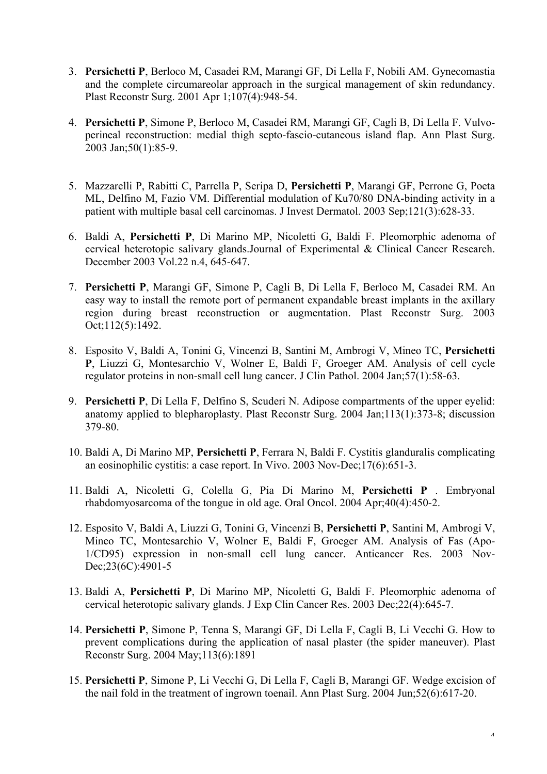- 3. **Persichetti P**, Berloco M, Casadei RM, Marangi GF, Di Lella F, Nobili AM. Gynecomastia and the complete circumareolar approach in the surgical management of skin redundancy. Plast Reconstr Surg. 2001 Apr 1;107(4):948-54.
- 4. **Persichetti P**, Simone P, Berloco M, Casadei RM, Marangi GF, Cagli B, Di Lella F. Vulvoperineal reconstruction: medial thigh septo-fascio-cutaneous island flap. Ann Plast Surg. 2003 Jan;50(1):85-9.
- 5. Mazzarelli P, Rabitti C, Parrella P, Seripa D, **Persichetti P**, Marangi GF, Perrone G, Poeta ML, Delfino M, Fazio VM. Differential modulation of Ku70/80 DNA-binding activity in a patient with multiple basal cell carcinomas. J Invest Dermatol. 2003 Sep;121(3):628-33.
- 6. Baldi A, **Persichetti P**, Di Marino MP, Nicoletti G, Baldi F. Pleomorphic adenoma of cervical heterotopic salivary glands.Journal of Experimental & Clinical Cancer Research. December 2003 Vol.22 n.4, 645-647.
- 7. **Persichetti P**, Marangi GF, Simone P, Cagli B, Di Lella F, Berloco M, Casadei RM. An easy way to install the remote port of permanent expandable breast implants in the axillary region during breast reconstruction or augmentation. Plast Reconstr Surg. 2003 Oct;112(5):1492.
- 8. Esposito V, Baldi A, Tonini G, Vincenzi B, Santini M, Ambrogi V, Mineo TC, **Persichetti P**, Liuzzi G, Montesarchio V, Wolner E, Baldi F, Groeger AM. Analysis of cell cycle regulator proteins in non-small cell lung cancer. J Clin Pathol. 2004 Jan;57(1):58-63.
- 9. **Persichetti P**, Di Lella F, Delfino S, Scuderi N. Adipose compartments of the upper eyelid: anatomy applied to blepharoplasty. Plast Reconstr Surg. 2004 Jan;113(1):373-8; discussion 379-80.
- 10. Baldi A, Di Marino MP, **Persichetti P**, Ferrara N, Baldi F. Cystitis glanduralis complicating an eosinophilic cystitis: a case report. In Vivo. 2003 Nov-Dec;17(6):651-3.
- 11. Baldi A, Nicoletti G, Colella G, Pia Di Marino M, **Persichetti P** . Embryonal rhabdomyosarcoma of the tongue in old age. Oral Oncol. 2004 Apr;40(4):450-2.
- 12. Esposito V, Baldi A, Liuzzi G, Tonini G, Vincenzi B, **Persichetti P**, Santini M, Ambrogi V, Mineo TC, Montesarchio V, Wolner E, Baldi F, Groeger AM. Analysis of Fas (Apo-1/CD95) expression in non-small cell lung cancer. Anticancer Res. 2003 Nov-Dec; 23(6C): 4901-5
- 13. Baldi A, **Persichetti P**, Di Marino MP, Nicoletti G, Baldi F. Pleomorphic adenoma of cervical heterotopic salivary glands. J Exp Clin Cancer Res. 2003 Dec;22(4):645-7.
- 14. **Persichetti P**, Simone P, Tenna S, Marangi GF, Di Lella F, Cagli B, Li Vecchi G. How to prevent complications during the application of nasal plaster (the spider maneuver). Plast Reconstr Surg. 2004 May;113(6):1891
- 15. **Persichetti P**, Simone P, Li Vecchi G, Di Lella F, Cagli B, Marangi GF. Wedge excision of the nail fold in the treatment of ingrown toenail. Ann Plast Surg. 2004 Jun;52(6):617-20.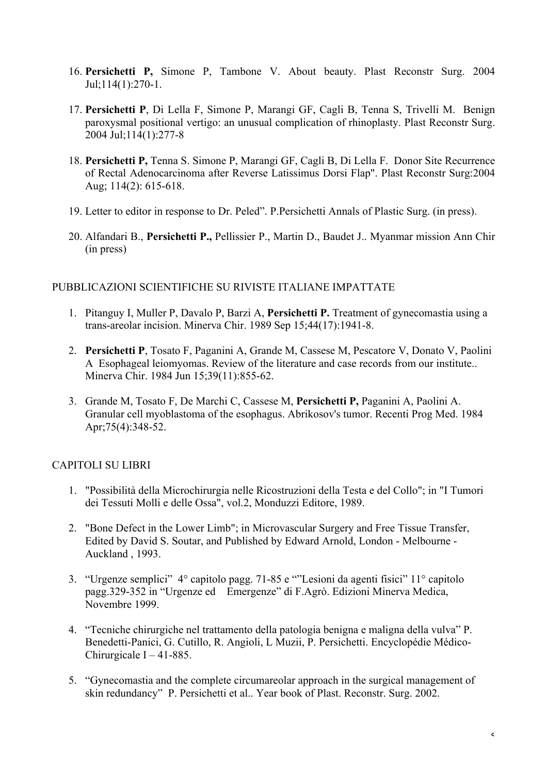- 16. **Persichetti P,** Simone P, Tambone V. About beauty. Plast Reconstr Surg. 2004 Jul;114(1):270-1.
- 17. **Persichetti P**, Di Lella F, Simone P, Marangi GF, Cagli B, Tenna S, Trivelli M. Benign paroxysmal positional vertigo: an unusual complication of rhinoplasty. Plast Reconstr Surg. 2004 Jul;114(1):277-8
- 18. **Persichetti P,** Tenna S. Simone P, Marangi GF, Cagli B, Di Lella F. Donor Site Recurrence of Rectal Adenocarcinoma after Reverse Latissimus Dorsi Flap". Plast Reconstr Surg:2004 Aug; 114(2): 615-618.
- 19. Letter to editor in response to Dr. Peled". P.Persichetti Annals of Plastic Surg. (in press).
- 20. Alfandari B., **Persichetti P.,** Pellissier P., Martin D., Baudet J.. Myanmar mission Ann Chir (in press)

# PUBBLICAZIONI SCIENTIFICHE SU RIVISTE ITALIANE IMPATTATE

- 1. Pitanguy I, Muller P, Davalo P, Barzi A, **Persichetti P.** Treatment of gynecomastia using a trans-areolar incision. Minerva Chir. 1989 Sep 15;44(17):1941-8.
- 2. **Persichetti P**, Tosato F, Paganini A, Grande M, Cassese M, Pescatore V, Donato V, Paolini A Esophageal leiomyomas. Review of the literature and case records from our institute.. Minerva Chir. 1984 Jun 15;39(11):855-62.
- 3. Grande M, Tosato F, De Marchi C, Cassese M, **Persichetti P,** Paganini A, Paolini A. Granular cell myoblastoma of the esophagus. Abrikosov's tumor. Recenti Prog Med. 1984 Apr;75(4):348-52.

# CAPITOLI SU LIBRI

- 1. "Possibilità della Microchirurgia nelle Ricostruzioni della Testa e del Collo"; in "I Tumori dei Tessuti Molli e delle Ossa", vol.2, Monduzzi Editore, 1989.
- 2. "Bone Defect in the Lower Limb"; in Microvascular Surgery and Free Tissue Transfer, Edited by David S. Soutar, and Published by Edward Arnold, London - Melbourne - Auckland , 1993.
- 3. "Urgenze semplici" 4° capitolo pagg. 71-85 e ""Lesioni da agenti fisici" 11° capitolo pagg.329-352 in "Urgenze ed Emergenze" di F.Agrò. Edizioni Minerva Medica, Novembre 1999.
- 4. "Tecniche chirurgiche nel trattamento della patologia benigna e maligna della vulva" P. Benedetti-Panici, G. Cutillo, R. Angioli, L Muzii, P. Persichetti. Encyclopédie Médico-Chirurgicale  $I - 41-885$ .
- 5. "Gynecomastia and the complete circumareolar approach in the surgical management of skin redundancy" P. Persichetti et al.. Year book of Plast. Reconstr. Surg. 2002.